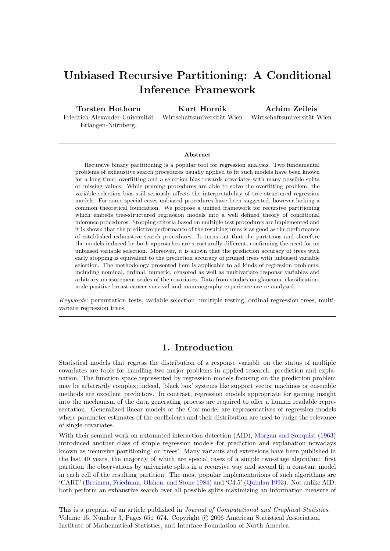# Unbiased Recursive Partitioning: A Conditional Inference Framework

Torsten Hothorn Friedrich-Alexander-Universität Erlangen-Nürnberg,

Kurt Hornik

Wirtschaftsuniversität Wien

Achim Zeileis Wirtschaftsuniversität Wien

#### Abstract

Recursive binary partitioning is a popular tool for regression analysis. Two fundamental problems of exhaustive search procedures usually applied to fit such models have been known for a long time: overfitting and a selection bias towards covariates with many possible splits or missing values. While pruning procedures are able to solve the overfitting problem, the variable selection bias still seriously affects the interpretability of tree-structured regression models. For some special cases unbiased procedures have been suggested, however lacking a common theoretical foundation. We propose a unified framework for recursive partitioning which embeds tree-structured regression models into a well defined theory of conditional inference procedures. Stopping criteria based on multiple test procedures are implemented and it is shown that the predictive performance of the resulting trees is as good as the performance of established exhaustive search procedures. It turns out that the partitions and therefore the models induced by both approaches are structurally different, confirming the need for an unbiased variable selection. Moreover, it is shown that the prediction accuracy of trees with early stopping is equivalent to the prediction accuracy of pruned trees with unbiased variable selection. The methodology presented here is applicable to all kinds of regression problems, including nominal, ordinal, numeric, censored as well as multivariate response variables and arbitrary measurement scales of the covariates. Data from studies on glaucoma classification, node positive breast cancer survival and mammography experience are re-analyzed.

Keywords: permutation tests, variable selection, multiple testing, ordinal regression trees, multivariate regression trees.

# 1. Introduction

Statistical models that regress the distribution of a response variable on the status of multiple covariates are tools for handling two major problems in applied research: prediction and explanation. The function space represented by regression models focusing on the prediction problem may be arbitrarily complex; indeed, 'black box' systems like support vector machines or ensemble methods are excellent predictors. In contrast, regression models appropriate for gaining insight into the mechanism of the data generating process are required to offer a human readable representation. Generalized linear models or the Cox model are representatives of regression models where parameter estimates of the coefficients and their distribution are used to judge the relevance of single covariates.

With their seminal work on automated interaction detection (AID), [Morgan and Sonquist](#page-19-0) [\(1963\)](#page-19-0) introduced another class of simple regression models for prediction and explanation nowadays known as 'recursive partitioning' or 'trees'. Many variants and extensions have been published in the last 40 years, the majority of which are special cases of a simple two-stage algorithm: first partition the observations by univariate splits in a recursive way and second fit a constant model in each cell of the resulting partition. The most popular implementations of such algorithms are 'CART' [\(Breiman, Friedman, Olshen, and Stone](#page-18-0) [1984\)](#page-18-0) and 'C4.5' [\(Quinlan](#page-19-1) [1993\)](#page-19-1). Not unlike AID, both perform an exhaustive search over all possible splits maximizing an information measure of

This is a preprint of an article published in Journal of Computational and Graphical Statistics, Volume 15, Number 3, Pages 651–674. Copyright (c) 2006 American Statistical Association, Institute of Mathematical Statistics, and Interface Foundation of North America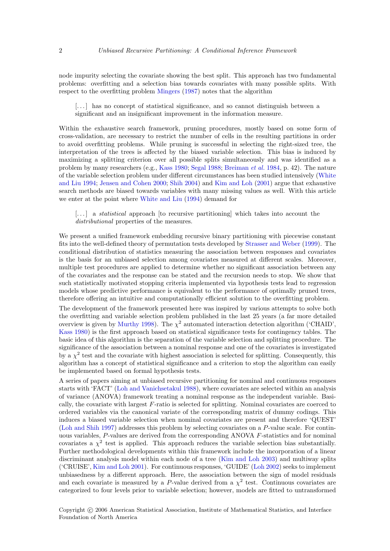node impurity selecting the covariate showing the best split. This approach has two fundamental problems: overfitting and a selection bias towards covariates with many possible splits. With respect to the overfitting problem [Mingers](#page-19-2) [\(1987\)](#page-19-2) notes that the algorithm

[. . . ] has no concept of statistical significance, and so cannot distinguish between a significant and an insignificant improvement in the information measure.

Within the exhaustive search framework, pruning procedures, mostly based on some form of cross-validation, are necessary to restrict the number of cells in the resulting partitions in order to avoid overfitting problems. While pruning is successful in selecting the right-sized tree, the interpretation of the trees is affected by the biased variable selection. This bias is induced by maximizing a splitting criterion over all possible splits simultaneously and was identified as a problem by many researchers (e.g., [Kass](#page-18-1) [1980;](#page-18-1) [Segal](#page-19-3) [1988;](#page-19-3) [Breiman](#page-18-0) et al. [1984,](#page-18-0) p. 42). The nature of the variable selection problem under different circumstances has been studied intensively [\(White](#page-20-0) [and Liu](#page-20-0) [1994;](#page-20-0) [Jensen and Cohen](#page-18-2) [2000;](#page-18-2) [Shih](#page-19-4) [2004\)](#page-19-4) and [Kim and Loh](#page-18-3) [\(2001\)](#page-18-3) argue that exhaustive search methods are biased towards variables with many missing values as well. With this article we enter at the point where [White and Liu](#page-20-0) [\(1994\)](#page-20-0) demand for

[...] a *statistical* approach [to recursive partitioning] which takes into account the distributional properties of the measures.

We present a unified framework embedding recursive binary partitioning with piecewise constant fits into the well-defined theory of permutation tests developed by [Strasser and Weber](#page-20-1) [\(1999\)](#page-20-1). The conditional distribution of statistics measuring the association between responses and covariates is the basis for an unbiased selection among covariates measured at different scales. Moreover, multiple test procedures are applied to determine whether no significant association between any of the covariates and the response can be stated and the recursion needs to stop. We show that such statistically motivated stopping criteria implemented via hypothesis tests lead to regression models whose predictive performance is equivalent to the performance of optimally pruned trees, therefore offering an intuitive and computationally efficient solution to the overfitting problem.

The development of the framework presented here was inspired by various attempts to solve both the overfitting and variable selection problem published in the last 25 years (a far more detailed overview is given by [Murthy](#page-19-5) [1998\)](#page-19-5). The  $\chi^2$  automated interaction detection algorithm ('CHAID', [Kass](#page-18-1) [1980\)](#page-18-1) is the first approach based on statistical significance tests for contingency tables. The basic idea of this algorithm is the separation of the variable selection and splitting procedure. The significance of the association between a nominal response and one of the covariates is investigated by a  $\chi^2$  test and the covariate with highest association is selected for splitting. Consequently, this algorithm has a concept of statistical significance and a criterion to stop the algorithm can easily be implemented based on formal hypothesis tests.

A series of papers aiming at unbiased recursive partitioning for nominal and continuous responses starts with 'FACT' [\(Loh and Vanichsetakul](#page-19-6) [1988\)](#page-19-6), where covariates are selected within an analysis of variance (ANOVA) framework treating a nominal response as the independent variable. Basically, the covariate with largest F-ratio is selected for splitting. Nominal covariates are coerced to ordered variables via the canonical variate of the corresponding matrix of dummy codings. This induces a biased variable selection when nominal covariates are present and therefore 'QUEST' [\(Loh and Shih](#page-19-7) [1997\)](#page-19-7) addresses this problem by selecting covariates on a P-value scale. For continuous variables, P-values are derived from the corresponding ANOVA F-statistics and for nominal covariates a  $\chi^2$  test is applied. This approach reduces the variable selection bias substantially. Further methodological developments within this framework include the incorporation of a linear discriminant analysis model within each node of a tree [\(Kim and Loh](#page-18-4) [2003\)](#page-18-4) and multiway splits ('CRUISE', [Kim and Loh](#page-18-3) [2001\)](#page-18-3). For continuous responses, 'GUIDE' [\(Loh](#page-19-8) [2002\)](#page-19-8) seeks to implement unbiasedness by a different approach. Here, the association between the sign of model residuals and each covariate is measured by a P-value derived from a  $\chi^2$  test. Continuous covariates are categorized to four levels prior to variable selection; however, models are fitted to untransformed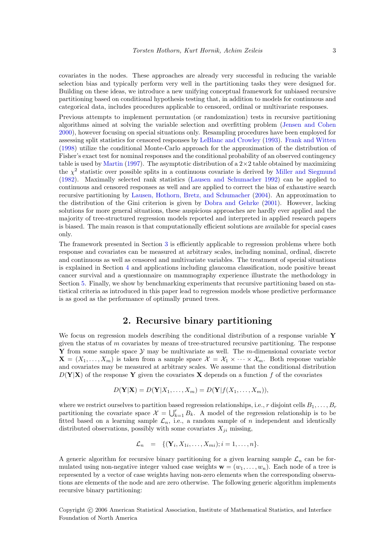covariates in the nodes. These approaches are already very successful in reducing the variable selection bias and typically perform very well in the partitioning tasks they were designed for. Building on these ideas, we introduce a new unifying conceptual framework for unbiased recursive partitioning based on conditional hypothesis testing that, in addition to models for continuous and categorical data, includes procedures applicable to censored, ordinal or multivariate responses.

Previous attempts to implement permutation (or randomization) tests in recursive partitioning algorithms aimed at solving the variable selection and overfitting problem [\(Jensen and Cohen](#page-18-2) [2000\)](#page-18-2), however focusing on special situations only. Resampling procedures have been employed for assessing split statistics for censored responses by [LeBlanc and Crowley](#page-18-5) [\(1993\)](#page-18-5). [Frank and Witten](#page-18-6) [\(1998\)](#page-18-6) utilize the conditional Monte-Carlo approach for the approximation of the distribution of Fisher's exact test for nominal responses and the conditional probability of an observed contingency table is used by [Martin](#page-19-9) [\(1997\)](#page-19-9). The asymptotic distribution of a  $2\times 2$  table obtained by maximizing the  $\chi^2$  statistic over possible splits in a continuous covariate is derived by [Miller and Siegmund](#page-19-10) [\(1982\)](#page-19-10). Maximally selected rank statistics [\(Lausen and Schumacher](#page-18-7) [1992\)](#page-18-7) can be applied to continuous and censored responses as well and are applied to correct the bias of exhaustive search recursive partitioning by [Lausen, Hothorn, Bretz, and Schumacher](#page-18-8) [\(2004\)](#page-18-8). An approximation to the distribution of the Gini criterion is given by [Dobra and Gehrke](#page-18-9) [\(2001\)](#page-18-9). However, lacking solutions for more general situations, these auspicious approaches are hardly ever applied and the majority of tree-structured regression models reported and interpreted in applied research papers is biased. The main reason is that computationally efficient solutions are available for special cases only.

The framework presented in Section [3](#page-3-0) is efficiently applicable to regression problems where both response and covariates can be measured at arbitrary scales, including nominal, ordinal, discrete and continuous as well as censored and multivariate variables. The treatment of special situations is explained in Section [4](#page-6-0) and applications including glaucoma classification, node positive breast cancer survival and a questionnaire on mammography experience illustrate the methodology in Section [5.](#page-7-0) Finally, we show by benchmarking experiments that recursive partitioning based on statistical criteria as introduced in this paper lead to regression models whose predictive performance is as good as the performance of optimally pruned trees.

# 2. Recursive binary partitioning

<span id="page-2-0"></span>We focus on regression models describing the conditional distribution of a response variable  $\mathbf Y$ given the status of  $m$  covariates by means of tree-structured recursive partitioning. The response **Y** from some sample space  $Y$  may be multivariate as well. The m-dimensional covariate vector  $\mathbf{X} = (X_1, \ldots, X_m)$  is taken from a sample space  $\mathcal{X} = \mathcal{X}_1 \times \cdots \times \mathcal{X}_m$ . Both response variable and covariates may be measured at arbitrary scales. We assume that the conditional distribution  $D(Y|X)$  of the response Y given the covariates X depends on a function f of the covariates

$$
D(\mathbf{Y}|\mathbf{X})=D(\mathbf{Y}|X_1,\ldots,X_m)=D(\mathbf{Y}|f(X_1,\ldots,X_m)),
$$

where we restrict ourselves to partition based regression relationships, i.e., r disjoint cells  $B_1, \ldots, B_r$ partitioning the covariate space  $\mathcal{X} = \bigcup_{k=1}^{r} B_k$ . A model of the regression relationship is to be fitted based on a learning sample  $\mathcal{L}_n$ , i.e., a random sample of n independent and identically distributed observations, possibly with some covariates  $X_{ji}$  missing,

$$
\mathcal{L}_n = \{ (\mathbf{Y}_i, X_{1i}, \dots, X_{mi}); i = 1, \dots, n \}.
$$

A generic algorithm for recursive binary partitioning for a given learning sample  $\mathcal{L}_n$  can be formulated using non-negative integer valued case weights  $\mathbf{w} = (w_1, \ldots, w_n)$ . Each node of a tree is represented by a vector of case weights having non-zero elements when the corresponding observations are elements of the node and are zero otherwise. The following generic algorithm implements recursive binary partitioning: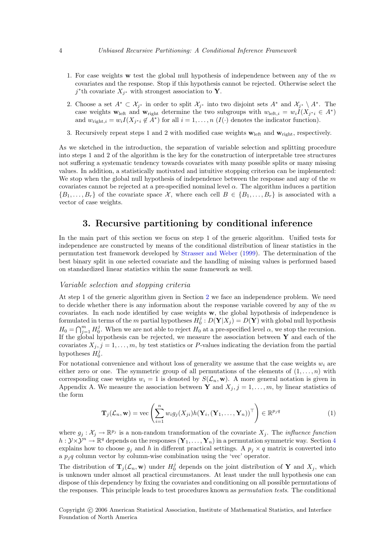- 1. For case weights w test the global null hypothesis of independence between any of the  $m$ covariates and the response. Stop if this hypothesis cannot be rejected. Otherwise select the  $j^*$ th covariate  $X_{j^*}$  with strongest association to Y.
- 2. Choose a set  $A^* \subset \mathcal{X}_{j^*}$  in order to split  $\mathcal{X}_{j^*}$  into two disjoint sets  $A^*$  and  $\mathcal{X}_{j^*} \setminus A^*$ . The case weights  $\mathbf{w}_{\text{left}}$  and  $\mathbf{w}_{\text{right}}$  determine the two subgroups with  $w_{\text{left},i} = w_i I(X_{j^*i} \in A^*)$ and  $w_{\text{right},i} = w_i I(X_{j^*i} \notin A^*)$  for all  $i = 1, \ldots, n$   $(I(\cdot))$  denotes the indicator function).
- 3. Recursively repeat steps 1 and 2 with modified case weights  $\mathbf{w}_{\text{left}}$  and  $\mathbf{w}_{\text{right}}$ , respectively.

As we sketched in the introduction, the separation of variable selection and splitting procedure into steps 1 and 2 of the algorithm is the key for the construction of interpretable tree structures not suffering a systematic tendency towards covariates with many possible splits or many missing values. In addition, a statistically motivated and intuitive stopping criterion can be implemented: We stop when the global null hypothesis of independence between the response and any of the  $m$ covariates cannot be rejected at a pre-specified nominal level  $\alpha$ . The algorithm induces a partition  $\{B_1,\ldots,B_r\}$  of the covariate space X, where each cell  $B \in \{B_1,\ldots,B_r\}$  is associated with a vector of case weights.

# 3. Recursive partitioning by conditional inference

<span id="page-3-0"></span>In the main part of this section we focus on step 1 of the generic algorithm. Unified tests for independence are constructed by means of the conditional distribution of linear statistics in the permutation test framework developed by [Strasser and Weber](#page-20-1) [\(1999\)](#page-20-1). The determination of the best binary split in one selected covariate and the handling of missing values is performed based on standardized linear statistics within the same framework as well.

### Variable selection and stopping criteria

At step 1 of the generic algorithm given in Section [2](#page-2-0) we face an independence problem. We need to decide whether there is any information about the response variable covered by any of the  $m$ covariates. In each node identified by case weights w, the global hypothesis of independence is formulated in terms of the m partial hypotheses  $H_0^j: D(Y|X_j) = D(Y)$  with global null hypothesis  $H_0 = \bigcap_{j=1}^m H_0^j$ . When we are not able to reject  $H_0$  at a pre-specified level  $\alpha$ , we stop the recursion. If the global hypothesis can be rejected, we measure the association between  $\bf{Y}$  and each of the covariates  $X_j$ ,  $j = 1, \ldots, m$ , by test statistics or P-values indicating the deviation from the partial hypotheses  $H_0^j$ .

For notational convenience and without loss of generality we assume that the case weights  $w_i$  are either zero or one. The symmetric group of all permutations of the elements of  $(1, \ldots, n)$  with corresponding case weights  $w_i = 1$  is denoted by  $S(\mathcal{L}_n, \mathbf{w})$ . A more general notation is given in Appendix A. We measure the association between Y and  $X_j$ ,  $j = 1, \ldots, m$ , by linear statistics of the form

<span id="page-3-1"></span>
$$
\mathbf{T}_{j}(\mathcal{L}_{n}, \mathbf{w}) = \text{vec}\left(\sum_{i=1}^{n} w_{i}g_{j}(X_{ji})h(\mathbf{Y}_{i}, (\mathbf{Y}_{1}, \ldots, \mathbf{Y}_{n}))^{\top}\right) \in \mathbb{R}^{p_{j}q}
$$
(1)

where  $g_j: \mathcal{X}_j \to \mathbb{R}^{p_j}$  is a non-random transformation of the covariate  $X_j$ . The *influence function*  $h: \mathcal{Y} \times \mathcal{Y}^n \to \mathbb{R}^q$  depends on the responses  $(\mathbf{Y}_1, \ldots, \mathbf{Y}_n)$  in a permutation symmetric way. Section [4](#page-6-0) explains how to choose  $g_i$  and h in different practical settings. A  $p_i \times q$  matrix is converted into a  $p_j q$  column vector by column-wise combination using the 'vec' operator.

The distribution of  $\mathbf{T}_j(\mathcal{L}_n, \mathbf{w})$  under  $H_0^j$  depends on the joint distribution of Y and  $X_j$ , which is unknown under almost all practical circumstances. At least under the null hypothesis one can dispose of this dependency by fixing the covariates and conditioning on all possible permutations of the responses. This principle leads to test procedures known as permutation tests. The conditional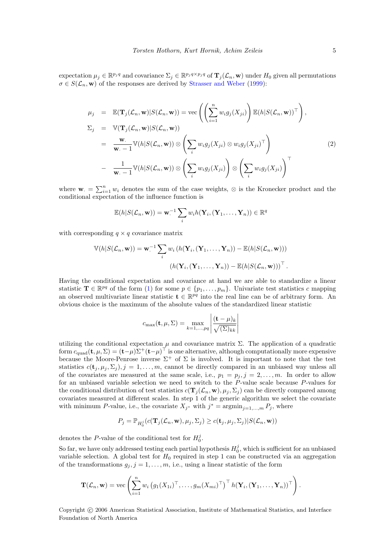expectation  $\mu_j \in \mathbb{R}^{p_j q}$  and covariance  $\Sigma_j \in \mathbb{R}^{p_j q \times p_j q}$  of  $\mathbf{T}_j(\mathcal{L}_n, \mathbf{w})$  under  $H_0$  given all permutations  $\sigma \in S(\mathcal{L}_n, \mathbf{w})$  of the responses are derived by [Strasser and Weber](#page-20-1) [\(1999\)](#page-20-1):

<span id="page-4-0"></span>
$$
\mu_j = \mathbb{E}(\mathbf{T}_j(\mathcal{L}_n, \mathbf{w}) | S(\mathcal{L}_n, \mathbf{w})) = \text{vec}\left(\left(\sum_{i=1}^n w_i g_j(X_{ji})\right) \mathbb{E}(h | S(\mathcal{L}_n, \mathbf{w}))^\top\right),
$$
  
\n
$$
\Sigma_j = \mathbb{V}(\mathbf{T}_j(\mathcal{L}_n, \mathbf{w}) | S(\mathcal{L}_n, \mathbf{w}))
$$
  
\n
$$
= \frac{\mathbf{w}}{\mathbf{w}. - 1} \mathbb{V}(h | S(\mathcal{L}_n, \mathbf{w})) \otimes \left(\sum_i w_i g_j(X_{ji}) \otimes w_i g_j(X_{ji})^\top\right)
$$
  
\n
$$
- \frac{1}{\mathbf{w}. - 1} \mathbb{V}(h | S(\mathcal{L}_n, \mathbf{w})) \otimes \left(\sum_i w_i g_j(X_{ji})\right) \otimes \left(\sum_i w_i g_j(X_{ji})\right)^\top
$$
  
\n(2)

where  $\mathbf{w}_{\cdot} = \sum_{i=1}^{n} w_i$  denotes the sum of the case weights,  $\otimes$  is the Kronecker product and the conditional expectation of the influence function is

$$
\mathbb{E}(h|S(\mathcal{L}_n,\mathbf{w}))=\mathbf{w}^{-1}\sum_i w_i h(\mathbf{Y}_i, (\mathbf{Y}_1,\ldots,\mathbf{Y}_n)) \in \mathbb{R}^q
$$

with corresponding  $q \times q$  covariance matrix

$$
\mathbb{V}(h|S(\mathcal{L}_n,\mathbf{w})) = \mathbf{w}^{-1} \sum_i w_i (h(\mathbf{Y}_i,(\mathbf{Y}_1,\ldots,\mathbf{Y}_n)) - \mathbb{E}(h|S(\mathcal{L}_n,\mathbf{w})))
$$

$$
(h(\mathbf{Y}_i,(\mathbf{Y}_1,\ldots,\mathbf{Y}_n)) - \mathbb{E}(h|S(\mathcal{L}_n,\mathbf{w})))^{\top}.
$$

Having the conditional expectation and covariance at hand we are able to standardize a linear statistic  $\mathbf{T} \in \mathbb{R}^{pq}$  of the form [\(1\)](#page-3-1) for some  $p \in \{p_1, \ldots, p_m\}$ . Univariate test statistics c mapping an observed multivariate linear statistic  $\mathbf{t} \in \mathbb{R}^{pq}$  into the real line can be of arbitrary form. An obvious choice is the maximum of the absolute values of the standardized linear statistic

$$
c_{\max}(\mathbf{t}, \mu, \Sigma) = \max_{k=1,\dots,pq} \left| \frac{(\mathbf{t} - \mu)_k}{\sqrt{(\Sigma)_{kk}}} \right|
$$

utilizing the conditional expectation  $\mu$  and covariance matrix  $\Sigma$ . The application of a quadratic form  $c_{\text{quad}}(\mathbf{t}, \mu, \Sigma) = (\mathbf{t} - \mu)\Sigma^{+}(\mathbf{t} - \mu)^{\top}$  is one alternative, although computationally more expensive because the Moore-Penrose inverse  $\Sigma^+$  of  $\Sigma$  is involved. It is important to note that the test statistics  $c(\mathbf{t}_i, \mu_i, \Sigma_i), j = 1, \ldots, m$ , cannot be directly compared in an unbiased way unless all of the covariates are measured at the same scale, i.e.,  $p_1 = p_j$ ,  $j = 2, \ldots, m$ . In order to allow for an unbiased variable selection we need to switch to the P-value scale because P-values for the conditional distribution of test statistics  $c(\mathbf{T}_i(\mathcal{L}_n, \mathbf{w}), \mu_i, \Sigma_i)$  can be directly compared among covariates measured at different scales. In step 1 of the generic algorithm we select the covariate with minimum P-value, i.e., the covariate  $X_{j^*}$  with  $j^* = \operatorname{argmin}_{j=1,\dots,m} P_j$ , where

$$
P_j = \mathbb{P}_{H_0^j}(c(\mathbf{T}_j(\mathcal{L}_n, \mathbf{w}), \mu_j, \Sigma_j) \ge c(\mathbf{t}_j, \mu_j, \Sigma_j) | S(\mathcal{L}_n, \mathbf{w}))
$$

denotes the P-value of the conditional test for  $H_0^j$ .

So far, we have only addressed testing each partial hypothesis  $H_0^j$ , which is sufficient for an unbiased variable selection. A global test for  $H_0$  required in step 1 can be constructed via an aggregation of the transformations  $g_j$ ,  $j = 1, \ldots, m$ , i.e., using a linear statistic of the form

$$
\mathbf{T}(\mathcal{L}_n, \mathbf{w}) = \text{vec}\left(\sum_{i=1}^n w_i \left(g_1(X_{1i})^\top, \ldots, g_m(X_{mi})^\top\right)^\top h(\mathbf{Y}_i, (\mathbf{Y}_1, \ldots, \mathbf{Y}_n))^\top\right).
$$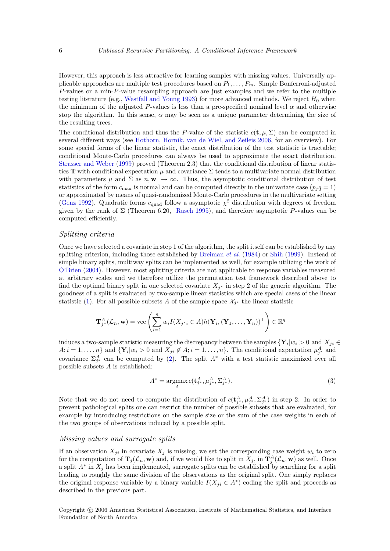However, this approach is less attractive for learning samples with missing values. Universally applicable approaches are multiple test procedures based on  $P_1, \ldots, P_m$ . Simple Bonferroni-adjusted P-values or a min-P-value resampling approach are just examples and we refer to the multiple testing literature (e.g., [Westfall and Young](#page-20-2) [1993\)](#page-20-2) for more advanced methods. We reject  $H_0$  when the minimum of the adjusted P-values is less than a pre-specified nominal level  $\alpha$  and otherwise stop the algorithm. In this sense,  $\alpha$  may be seen as a unique parameter determining the size of the resulting trees.

The conditional distribution and thus the P-value of the statistic  $c(\mathbf{t}, \mu, \Sigma)$  can be computed in several different ways (see [Hothorn, Hornik, van de Wiel, and Zeileis](#page-18-10) [2006,](#page-18-10) for an overview). For some special forms of the linear statistic, the exact distribution of the test statistic is tractable; conditional Monte-Carlo procedures can always be used to approximate the exact distribution. [Strasser and Weber](#page-20-1) [\(1999\)](#page-20-1) proved (Theorem 2.3) that the conditional distribution of linear statistics T with conditional expectation  $\mu$  and covariance  $\Sigma$  tends to a multivariate normal distribution with parameters  $\mu$  and  $\Sigma$  as  $n, \mathbf{w} \to \infty$ . Thus, the asymptotic conditional distribution of test statistics of the form  $c_{\text{max}}$  is normal and can be computed directly in the univariate case  $(p_j q = 1)$ or approximated by means of quasi-randomized Monte-Carlo procedures in the multivariate setting [\(Genz](#page-18-11) [1992\)](#page-18-11). Quadratic forms  $c_{quad}$  follow a asymptotic  $\chi^2$  distribution with degrees of freedom given by the rank of  $\Sigma$  (Theorem 6.20, [Rasch](#page-19-11) [1995\)](#page-19-11), and therefore asymptotic P-values can be computed efficiently.

#### Splitting criteria

Once we have selected a covariate in step 1 of the algorithm, the split itself can be established by any splitting criterion, including those established by [Breiman](#page-18-0) *et al.* [\(1984\)](#page-18-0) or [Shih](#page-19-12) [\(1999\)](#page-19-12). Instead of simple binary splits, multiway splits can be implemented as well, for example utilizing the work of [O'Brien](#page-19-13) [\(2004\)](#page-19-13). However, most splitting criteria are not applicable to response variables measured at arbitrary scales and we therefore utilize the permutation test framework described above to find the optimal binary split in one selected covariate  $X_{j^*}$  in step 2 of the generic algorithm. The goodness of a split is evaluated by two-sample linear statistics which are special cases of the linear statistic [\(1\)](#page-3-1). For all possible subsets A of the sample space  $\mathcal{X}_{j^*}$  the linear statistic

$$
\mathbf{T}_{j^*}^A(\mathcal{L}_n, \mathbf{w}) = \text{vec}\left(\sum_{i=1}^n w_i I(X_{j^*i} \in A) h(\mathbf{Y}_i, (\mathbf{Y}_1, \dots, \mathbf{Y}_n))^{\top}\right) \in \mathbb{R}^q
$$

induces a two-sample statistic measuring the discrepancy between the samples  $\{Y_i | w_i > 0 \text{ and } X_{ji} \in$  $A; i = 1, \ldots, n$  and  $\{Y_i | w_i > 0 \text{ and } X_{ji} \notin A; i = 1, \ldots, n\}$ . The conditional expectation  $\mu_{j^*}^A$  and covariance  $\Sigma_{j^*}^A$  can be computed by [\(2\)](#page-4-0). The split  $A^*$  with a test statistic maximized over all possible subsets A is established:

<span id="page-5-0"></span>
$$
A^* = \underset{A}{\text{argmax}} c(\mathbf{t}_{j^*}^A, \mu_{j^*}^A, \Sigma_{j^*}^A). \tag{3}
$$

Note that we do not need to compute the distribution of  $c(t_{j^*}^A, \mu_{j^*}^A, \Sigma_{j^*}^A)$  in step 2. In order to prevent pathological splits one can restrict the number of possible subsets that are evaluated, for example by introducing restrictions on the sample size or the sum of the case weights in each of the two groups of observations induced by a possible split.

#### Missing values and surrogate splits

If an observation  $X_{ji}$  in covariate  $X_j$  is missing, we set the corresponding case weight  $w_i$  to zero for the computation of  $\mathbf{T}_j(\mathcal{L}_n, \mathbf{w})$  and, if we would like to split in  $X_j$ , in  $\mathbf{T}_j^A(\mathcal{L}_n, \mathbf{w})$  as well. Once a split  $A^*$  in  $X_j$  has been implemented, surrogate splits can be established by searching for a split leading to roughly the same division of the observations as the original split. One simply replaces the original response variable by a binary variable  $I(X_{ji} \in A^*)$  coding the split and proceeds as described in the previous part.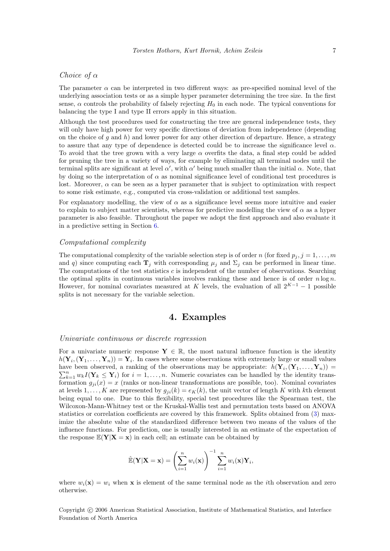### Choice of  $\alpha$

The parameter  $\alpha$  can be interpreted in two different ways: as pre-specified nominal level of the underlying association tests or as a simple hyper parameter determining the tree size. In the first sense,  $\alpha$  controls the probability of falsely rejecting  $H_0$  in each node. The typical conventions for balancing the type I and type II errors apply in this situation.

Although the test procedures used for constructing the tree are general independence tests, they will only have high power for very specific directions of deviation from independence (depending on the choice of g and h) and lower power for any other direction of departure. Hence, a strategy to assure that any type of dependence is detected could be to increase the significance level  $\alpha$ . To avoid that the tree grown with a very large  $\alpha$  overfits the data, a final step could be added for pruning the tree in a variety of ways, for example by eliminating all terminal nodes until the terminal splits are significant at level  $\alpha'$ , with  $\alpha'$  being much smaller than the initial  $\alpha$ . Note, that by doing so the interpretation of  $\alpha$  as nominal significance level of conditional test procedures is lost. Moreover,  $\alpha$  can be seen as a hyper parameter that is subject to optimization with respect to some risk estimate, e.g., computed via cross-validation or additional test samples.

For explanatory modelling, the view of  $\alpha$  as a significance level seems more intuitive and easier to explain to subject matter scientists, whereas for predictive modelling the view of  $\alpha$  as a hyper parameter is also feasible. Throughout the paper we adopt the first approach and also evaluate it in a predictive setting in Section [6.](#page-9-0)

### Computational complexity

The computational complexity of the variable selection step is of order n (for fixed  $p_j$ ,  $j = 1, \ldots, m$ and q) since computing each  $\mathbf{T}_i$  with corresponding  $\mu_i$  and  $\Sigma_i$  can be performed in linear time. The computations of the test statistics c is independent of the number of observations. Searching the optimal splits in continuous variables involves ranking these and hence is of order  $n \log n$ . However, for nominal covariates measured at K levels, the evaluation of all  $2^{K-1} - 1$  possible splits is not necessary for the variable selection.

### 4. Examples

### <span id="page-6-0"></span>Univariate continuous or discrete regression

For a univariate numeric response  $Y \in \mathbb{R}$ , the most natural influence function is the identity  $h(Y_i, (Y_1, \ldots, Y_n)) = Y_i$ . In cases where some observations with extremely large or small values have been observed, a ranking of the observations may be appropriate:  $h(Y_i, (Y_1, \ldots, Y_n)) =$ have been observed, a ranking of the observations may be appropriate:  $h(Y_i, (Y_1, ..., Y_n)) = \sum_{k=1}^n w_k I(Y_k \leq Y_i)$  for  $i = 1, ..., n$ . Numeric covariates can be handled by the identity transformation  $g_{ii}(x) = x$  (ranks or non-linear transformations are possible, too). Nominal covariates at levels 1, ..., K are represented by  $g_{ii}(k) = e_K(k)$ , the unit vector of length K with kth element being equal to one. Due to this flexibility, special test procedures like the Spearman test, the Wilcoxon-Mann-Whitney test or the Kruskal-Wallis test and permutation tests based on ANOVA statistics or correlation coefficients are covered by this framework. Splits obtained from [\(3\)](#page-5-0) maximize the absolute value of the standardized difference between two means of the values of the influence functions. For prediction, one is usually interested in an estimate of the expectation of the response  $\mathbb{E}(\mathbf{Y}|\mathbf{X}=\mathbf{x})$  in each cell; an estimate can be obtained by

$$
\hat{\mathbb{E}}(\mathbf{Y}|\mathbf{X}=\mathbf{x}) = \left(\sum_{i=1}^n w_i(\mathbf{x})\right)^{-1} \sum_{i=1}^n w_i(\mathbf{x}) \mathbf{Y}_i,
$$

where  $w_i(\mathbf{x}) = w_i$  when **x** is element of the same terminal node as the *i*th observation and zero otherwise.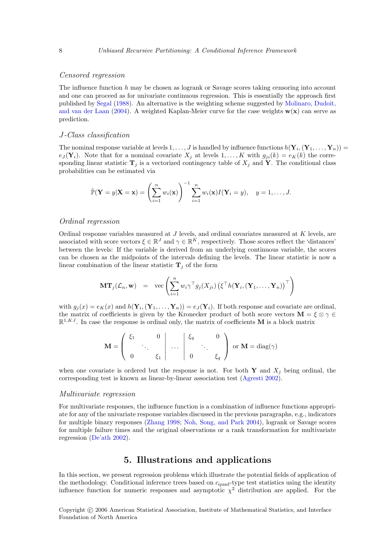### Censored regression

The influence function h may be chosen as logrank or Savage scores taking censoring into account and one can proceed as for univariate continuous regression. This is essentially the approach first published by [Segal](#page-19-3) [\(1988\)](#page-19-3). An alternative is the weighting scheme suggested by [Molinaro, Dudoit,](#page-19-14) [and van der Laan](#page-19-14) [\(2004\)](#page-19-14). A weighted Kaplan-Meier curve for the case weights  $w(x)$  can serve as prediction.

#### J-Class classification

The nominal response variable at levels  $1,\ldots,J$  is handled by influence functions  $h(Y_i,(Y_1,\ldots,Y_n))=$  $e_j(\mathbf{Y}_i)$ . Note that for a nominal covariate  $X_i$  at levels  $1, \ldots, K$  with  $g_{ii}(k) = e_K(k)$  the corresponding linear statistic  $\mathbf{T}_i$  is a vectorized contingency table of  $X_i$  and Y. The conditional class probabilities can be estimated via

$$
\hat{\mathbb{P}}(\mathbf{Y}=y|\mathbf{X}=\mathbf{x})=\left(\sum_{i=1}^n w_i(\mathbf{x})\right)^{-1}\sum_{i=1}^n w_i(\mathbf{x})I(\mathbf{Y}_i=y), \quad y=1,\ldots,J.
$$

### Ordinal regression

Ordinal response variables measured at J levels, and ordinal covariates measured at K levels, are associated with score vectors  $\xi \in \mathbb{R}^J$  and  $\gamma \in \mathbb{R}^K$ , respectively. Those scores reflect the 'distances' between the levels: If the variable is derived from an underlying continuous variable, the scores can be chosen as the midpoints of the intervals defining the levels. The linear statistic is now a linear combination of the linear statistic  $\mathbf{T}_i$  of the form

$$
\mathbf{MT}_j(\mathcal{L}_n, \mathbf{w}) = \text{vec}\left(\sum_{i=1}^n w_i \gamma^\top g_j(X_{ji}) \left(\xi^\top h(\mathbf{Y}_i, (\mathbf{Y}_1, \dots, \mathbf{Y}_n)) \right)^\top\right)
$$

with  $g_j(x) = e_K(x)$  and  $h(\mathbf{Y}_i, (\mathbf{Y}_1, \dots, \mathbf{Y}_n)) = e_J(\mathbf{Y}_i)$ . If both response and covariate are ordinal, the matrix of coefficients is given by the Kronecker product of both score vectors  $\mathbf{M} = \xi \otimes \gamma \in \mathbb{R}$  $\mathbb{R}^{1,KJ}$ . In case the response is ordinal only, the matrix of coefficients **M** is a block matrix

$$
\mathbf{M} = \left( \begin{array}{ccc} \xi_1 & 0 \\ \vdots & \ddots \\ 0 & \xi_1 \end{array} \middle| \begin{array}{ccc} \vdots & \vdots & \vdots \\ \vdots & \ddots & \vdots \\ 0 & \xi_q \end{array} \right) \text{ or } \mathbf{M} = \text{diag}(\gamma)
$$

when one covariate is ordered but the response is not. For both Y and  $X_i$  being ordinal, the corresponding test is known as linear-by-linear association test [\(Agresti](#page-17-0) [2002\)](#page-17-0).

#### Multivariate regression

For multivariate responses, the influence function is a combination of influence functions appropriate for any of the univariate response variables discussed in the previous paragraphs, e.g., indicators for multiple binary responses [\(Zhang](#page-20-3) [1998;](#page-20-3) [Noh, Song, and Park](#page-19-15) [2004\)](#page-19-15), logrank or Savage scores for multiple failure times and the original observations or a rank transformation for multivariate regression [\(De'ath](#page-18-12) [2002\)](#page-18-12).

# 5. Illustrations and applications

<span id="page-7-0"></span>In this section, we present regression problems which illustrate the potential fields of application of the methodology. Conditional inference trees based on  $c_{quad}$ -type test statistics using the identity influence function for numeric responses and asymptotic  $\chi^2$  distribution are applied. For the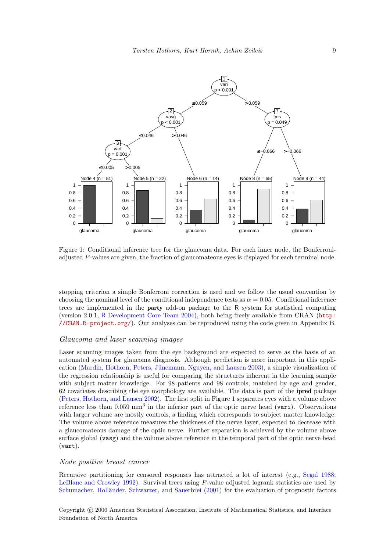

<span id="page-8-0"></span>Figure 1: Conditional inference tree for the glaucoma data. For each inner node, the Bonferroniadjusted P-values are given, the fraction of glaucomateous eyes is displayed for each terminal node.

stopping criterion a simple Bonferroni correction is used and we follow the usual convention by choosing the nominal level of the conditional independence tests as  $\alpha = 0.05$ . Conditional inference trees are implemented in the party add-on package to the R system for statistical computing (version 2.0.1, R [Development Core Team](#page-19-16) [2004\)](#page-19-16), both being freely available from CRAN ([http:](http://CRAN.R-project.org/) [//CRAN.R-project.org/](http://CRAN.R-project.org/)). Our analyses can be reproduced using the code given in Appendix B.

### Glaucoma and laser scanning images

Laser scanning images taken from the eye background are expected to serve as the basis of an automated system for glaucoma diagnosis. Although prediction is more important in this appli-cation (Mardin, Hothorn, Peters, Jünemann, Nguyen, and Lausen [2003\)](#page-19-17), a simple visualization of the regression relationship is useful for comparing the structures inherent in the learning sample with subject matter knowledge. For 98 patients and 98 controls, matched by age and gender, 62 covariates describing the eye morphology are available. The data is part of the ipred package [\(Peters, Hothorn, and Lausen](#page-19-18) [2002\)](#page-19-18). The first split in Figure [1](#page-8-0) separates eyes with a volume above reference less than 0.059 mm<sup>3</sup> in the inferior part of the optic nerve head (vari). Observations with larger volume are mostly controls, a finding which corresponds to subject matter knowledge: The volume above reference measures the thickness of the nerve layer, expected to decrease with a glaucomateous damage of the optic nerve. Further separation is achieved by the volume above surface global (vasg) and the volume above reference in the temporal part of the optic nerve head (vart).

### Node positive breast cancer

Recursive partitioning for censored responses has attracted a lot of interest (e.g., [Segal](#page-19-3) [1988;](#page-19-3) [LeBlanc and Crowley](#page-18-13) [1992\)](#page-18-13). Survival trees using P-value adjusted logrank statistics are used by Schumacher, Holländer, Schwarzer, and Sauerbrei [\(2001\)](#page-19-19) for the evaluation of prognostic factors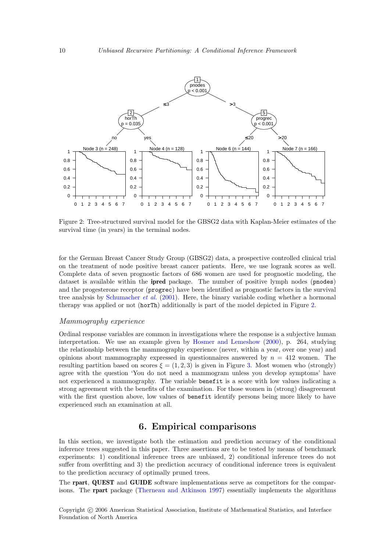

<span id="page-9-1"></span>Figure 2: Tree-structured survival model for the GBSG2 data with Kaplan-Meier estimates of the survival time (in years) in the terminal nodes.

for the German Breast Cancer Study Group (GBSG2) data, a prospective controlled clinical trial on the treatment of node positive breast cancer patients. Here, we use logrank scores as well. Complete data of seven prognostic factors of 686 women are used for prognostic modeling, the dataset is available within the ipred package. The number of positive lymph nodes (pnodes) and the progesterone receptor (progrec) have been identified as prognostic factors in the survival tree analysis by [Schumacher](#page-19-19) et al. [\(2001\)](#page-19-19). Here, the binary variable coding whether a hormonal therapy was applied or not (horTh) additionally is part of the model depicted in Figure [2.](#page-9-1)

### Mammography experience

Ordinal response variables are common in investigations where the response is a subjective human interpretation. We use an example given by [Hosmer and Lemeshow](#page-18-14) [\(2000\)](#page-18-14), p. 264, studying the relationship between the mammography experience (never, within a year, over one year) and opinions about mammography expressed in questionnaires answered by  $n = 412$  women. The resulting partition based on scores  $\xi = (1, 2, 3)$  is given in Figure [3.](#page-10-0) Most women who (strongly) agree with the question 'You do not need a mammogram unless you develop symptoms' have not experienced a mammography. The variable benefit is a score with low values indicating a strong agreement with the benefits of the examination. For those women in (strong) disagreement with the first question above, low values of benefit identify persons being more likely to have experienced such an examination at all.

# 6. Empirical comparisons

<span id="page-9-0"></span>In this section, we investigate both the estimation and prediction accuracy of the conditional inference trees suggested in this paper. Three assertions are to be tested by means of benchmark experiments: 1) conditional inference trees are unbiased, 2) conditional inference trees do not suffer from overfitting and 3) the prediction accuracy of conditional inference trees is equivalent to the prediction accuracy of optimally pruned trees.

The rpart, QUEST and GUIDE software implementations serve as competitors for the comparisons. The rpart package [\(Therneau and Atkinson](#page-20-4) [1997\)](#page-20-4) essentially implements the algorithms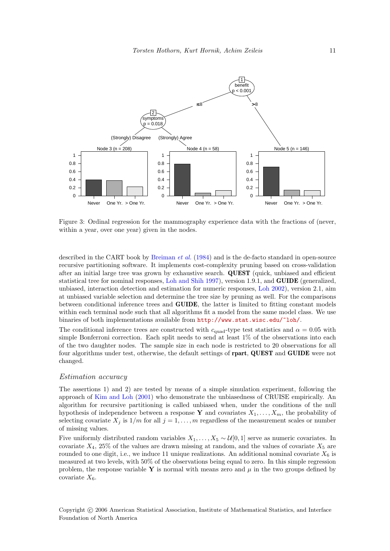

<span id="page-10-0"></span>Figure 3: Ordinal regression for the mammography experience data with the fractions of (never, within a year, over one year) given in the nodes.

described in the CART book by [Breiman](#page-18-0) *et al.* [\(1984\)](#page-18-0) and is the de-facto standard in open-source recursive partitioning software. It implements cost-complexity pruning based on cross-validation after an initial large tree was grown by exhaustive search. QUEST (quick, unbiased and efficient statistical tree for nominal responses, [Loh and Shih](#page-19-7) [1997\)](#page-19-7), version 1.9.1, and GUIDE (generalized, unbiased, interaction detection and estimation for numeric responses, [Loh](#page-19-8) [2002\)](#page-19-8), version 2.1, aim at unbiased variable selection and determine the tree size by pruning as well. For the comparisons between conditional inference trees and GUIDE, the latter is limited to fitting constant models within each terminal node such that all algorithms fit a model from the same model class. We use binaries of both implementations available from <http://www.stat.wisc.edu/~loh/>.

The conditional inference trees are constructed with  $c_{quad}$ -type test statistics and  $\alpha = 0.05$  with simple Bonferroni correction. Each split needs to send at least 1% of the observations into each of the two daughter nodes. The sample size in each node is restricted to 20 observations for all four algorithms under test, otherwise, the default settings of rpart, QUEST and GUIDE were not changed.

### Estimation accuracy

The assertions 1) and 2) are tested by means of a simple simulation experiment, following the approach of [Kim and Loh](#page-18-3) [\(2001\)](#page-18-3) who demonstrate the unbiasedness of CRUISE empirically. An algorithm for recursive partitioning is called unbiased when, under the conditions of the null hypothesis of independence between a response Y and covariates  $X_1, \ldots, X_m$ , the probability of selecting covariate  $X_j$  is  $1/m$  for all  $j = 1, ..., m$  regardless of the measurement scales or number of missing values.

Five uniformly distributed random variables  $X_1, \ldots, X_5 \sim \mathcal{U}[0, 1]$  serve as numeric covariates. In covariate  $X_4$ , 25% of the values are drawn missing at random, and the values of covariate  $X_5$  are rounded to one digit, i.e., we induce 11 unique realizations. An additional nominal covariate  $X_6$  is measured at two levels, with 50% of the observations being equal to zero. In this simple regression problem, the response variable Y is normal with means zero and  $\mu$  in the two groups defined by covariate  $X_6$ .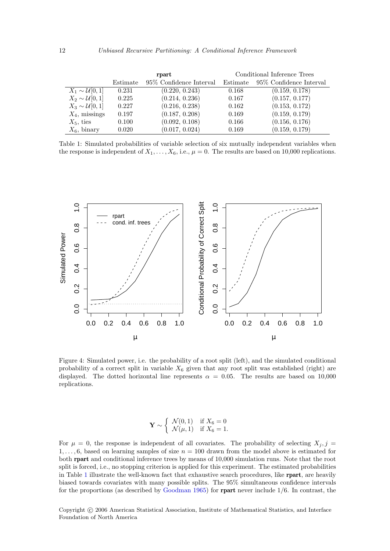|                             |          | rpart                    | Conditional Inference Trees |                          |  |  |
|-----------------------------|----------|--------------------------|-----------------------------|--------------------------|--|--|
|                             | Estimate | 95\% Confidence Interval | Estimate                    | 95\% Confidence Interval |  |  |
| $X_1 \sim \mathcal{U}[0,1]$ | 0.231    | (0.220, 0.243)           | 0.168                       | (0.159, 0.178)           |  |  |
| $X_2 \sim \mathcal{U}[0,1]$ | 0.225    | (0.214, 0.236)           | 0.167                       | (0.157, 0.177)           |  |  |
| $X_3 \sim \mathcal{U}[0,1]$ | 0.227    | (0.216, 0.238)           | 0.162                       | (0.153, 0.172)           |  |  |
| $X_4$ , missings            | 0.197    | (0.187, 0.208)           | 0.169                       | (0.159, 0.179)           |  |  |
| $X_5$ , ties                | 0.100    | (0.092, 0.108)           | 0.166                       | (0.156, 0.176)           |  |  |
| $X_6$ , binary              | 0.020    | (0.017, 0.024)           | 0.169                       | (0.159, 0.179)           |  |  |

<span id="page-11-0"></span>Table 1: Simulated probabilities of variable selection of six mutually independent variables when the response is independent of  $X_1, \ldots, X_6$ , i.e.,  $\mu = 0$ . The results are based on 10,000 replications.



<span id="page-11-1"></span>Figure 4: Simulated power, i.e. the probability of a root split (left), and the simulated conditional probability of a correct split in variable  $X_6$  given that any root split was established (right) are displayed. The dotted horizontal line represents  $\alpha = 0.05$ . The results are based on 10,000 replications.

$$
\mathbf{Y} \sim \begin{cases} \mathcal{N}(0,1) & \text{if } X_6 = 0 \\ \mathcal{N}(\mu,1) & \text{if } X_6 = 1. \end{cases}
$$

For  $\mu = 0$ , the response is independent of all covariates. The probability of selecting  $X_i, j =$  $1, \ldots, 6$ , based on learning samples of size  $n = 100$  drawn from the model above is estimated for both rpart and conditional inference trees by means of 10,000 simulation runs. Note that the root split is forced, i.e., no stopping criterion is applied for this experiment. The estimated probabilities in Table [1](#page-11-0) illustrate the well-known fact that exhaustive search procedures, like rpart, are heavily biased towards covariates with many possible splits. The 95% simultaneous confidence intervals for the proportions (as described by [Goodman](#page-18-15) [1965\)](#page-18-15) for rpart never include 1/6. In contrast, the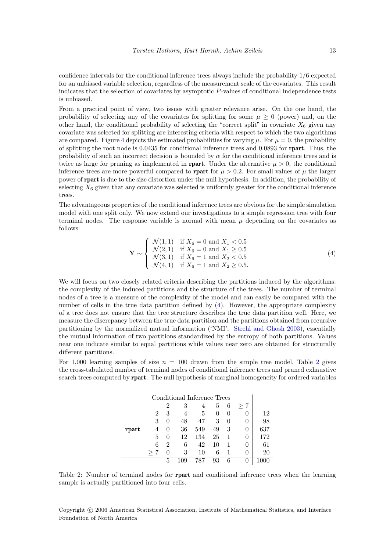confidence intervals for the conditional inference trees always include the probability 1/6 expected for an unbiased variable selection, regardless of the measurement scale of the covariates. This result indicates that the selection of covariates by asymptotic P-values of conditional independence tests is unbiased.

From a practical point of view, two issues with greater relevance arise. On the one hand, the probability of selecting any of the covariates for splitting for some  $\mu \geq 0$  (power) and, on the other hand, the conditional probability of selecting the "correct split" in covariate  $X_6$  given any covariate was selected for splitting are interesting criteria with respect to which the two algorithms are compared. Figure [4](#page-11-1) depicts the estimated probabilities for varying  $\mu$ . For  $\mu = 0$ , the probability of splitting the root node is 0.0435 for conditional inference trees and 0.0893 for rpart. Thus, the probability of such an incorrect decision is bounded by  $\alpha$  for the conditional inference trees and is twice as large for pruning as implemented in **rpart**. Under the alternative  $\mu > 0$ , the conditional inference trees are more powerful compared to **rpart** for  $\mu > 0.2$ . For small values of  $\mu$  the larger power of rpart is due to the size distortion under the null hypothesis. In addition, the probability of selecting  $X_6$  given that any covariate was selected is uniformly greater for the conditional inference trees.

The advantageous properties of the conditional inference trees are obvious for the simple simulation model with one split only. We now extend our investigations to a simple regression tree with four terminal nodes. The response variable is normal with mean  $\mu$  depending on the covariates as follows:

<span id="page-12-0"></span>
$$
\mathbf{Y} \sim \begin{cases} \mathcal{N}(1,1) & \text{if } X_6 = 0 \text{ and } X_1 < 0.5 \\ \mathcal{N}(2,1) & \text{if } X_6 = 0 \text{ and } X_1 \ge 0.5 \\ \mathcal{N}(3,1) & \text{if } X_6 = 1 \text{ and } X_2 < 0.5 \\ \mathcal{N}(4,1) & \text{if } X_6 = 1 \text{ and } X_2 \ge 0.5. \end{cases}
$$
 (4)

We will focus on two closely related criteria describing the partitions induced by the algorithms: the complexity of the induced partitions and the structure of the trees. The number of terminal nodes of a tree is a measure of the complexity of the model and can easily be compared with the number of cells in the true data partition defined by [\(4\)](#page-12-0). However, the appropriate complexity of a tree does not ensure that the tree structure describes the true data partition well. Here, we measure the discrepancy between the true data partition and the partitions obtained from recursive partitioning by the normalized mutual information ('NMI', [Strehl and Ghosh](#page-20-5) [2003\)](#page-20-5), essentially the mutual information of two partitions standardized by the entropy of both partitions. Values near one indicate similar to equal partitions while values near zero are obtained for structurally different partitions.

For 1,000 learning samples of size  $n = 100$  drawn from the simple tree model, Table [2](#page-12-1) gives the cross-tabulated number of terminal nodes of conditional inference trees and pruned exhaustive search trees computed by rpart. The null hypothesis of marginal homogeneity for ordered variables

|       | Conditional Inference Trees |                |    |     |          |          |              |     |
|-------|-----------------------------|----------------|----|-----|----------|----------|--------------|-----|
|       |                             | $\overline{2}$ | 3  | 4   | 5        | 6        | $> 7\,$      |     |
|       | 2                           | 3              | 4  | 5   | $\Omega$ |          |              | 12  |
|       | 3                           | $\theta$       | 48 | 47  | 3        | $\theta$ |              | 98  |
| rpart |                             | $\theta$       | 36 | 549 | 49       | 3        | O            | 637 |
|       | 5                           | $\theta$       | 12 | 134 | 25       |          | O            | 172 |
|       | 6                           | 2              | 6  | 42  | 10       |          | $\theta$     | 61  |
|       |                             | $\Omega$       | 3  | 10  | 6        |          | $\mathbf{0}$ | 20  |
|       |                             | 5              |    | 787 | 93       | 6        |              |     |

<span id="page-12-1"></span>Table 2: Number of terminal nodes for **rpart** and conditional inference trees when the learning sample is actually partitioned into four cells.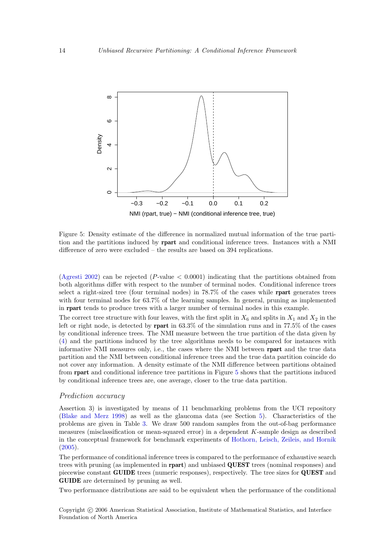

<span id="page-13-0"></span>Figure 5: Density estimate of the difference in normalized mutual information of the true partition and the partitions induced by rpart and conditional inference trees. Instances with a NMI difference of zero were excluded – the results are based on 394 replications.

[\(Agresti](#page-17-0) [2002\)](#page-17-0) can be rejected (P-value  $\lt 0.0001$ ) indicating that the partitions obtained from both algorithms differ with respect to the number of terminal nodes. Conditional inference trees select a right-sized tree (four terminal nodes) in 78.7% of the cases while rpart generates trees with four terminal nodes for 63.7% of the learning samples. In general, pruning as implemented in rpart tends to produce trees with a larger number of terminal nodes in this example.

The correct tree structure with four leaves, with the first split in  $X_6$  and splits in  $X_1$  and  $X_2$  in the left or right node, is detected by rpart in 63.3% of the simulation runs and in 77.5% of the cases by conditional inference trees. The NMI measure between the true partition of the data given by [\(4\)](#page-12-0) and the partitions induced by the tree algorithms needs to be compared for instances with informative NMI measures only, i.e., the cases where the NMI between rpart and the true data partition and the NMI between conditional inference trees and the true data partition coincide do not cover any information. A density estimate of the NMI difference between partitions obtained from rpart and conditional inference tree partitions in Figure [5](#page-13-0) shows that the partitions induced by conditional inference trees are, one average, closer to the true data partition.

#### Prediction accuracy

Assertion 3) is investigated by means of 11 benchmarking problems from the UCI repository [\(Blake and Merz](#page-18-16) [1998\)](#page-18-16) as well as the glaucoma data (see Section [5\)](#page-7-0). Characteristics of the problems are given in Table [3.](#page-14-0) We draw 500 random samples from the out-of-bag performance measures (misclassification or mean-squared error) in a dependent K-sample design as described in the conceptual framework for benchmark experiments of [Hothorn, Leisch, Zeileis, and Hornik](#page-18-17)  $(2005)$ .

The performance of conditional inference trees is compared to the performance of exhaustive search trees with pruning (as implemented in rpart) and unbiased QUEST trees (nominal responses) and piecewise constant GUIDE trees (numeric responses), respectively. The tree sizes for QUEST and GUIDE are determined by pruning as well.

Two performance distributions are said to be equivalent when the performance of the conditional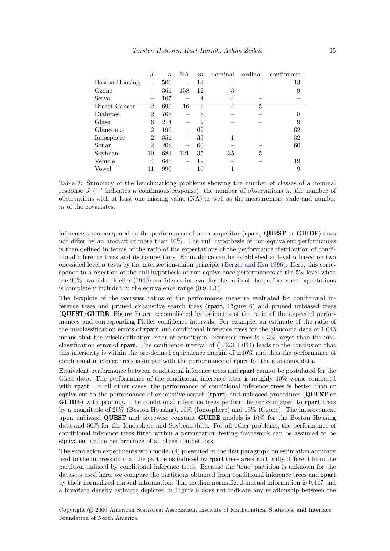|                       |                          | $\boldsymbol{n}$ | ΝA  | $\boldsymbol{m}$ | nominal | ordinal | continuous |
|-----------------------|--------------------------|------------------|-----|------------------|---------|---------|------------|
| <b>Boston Housing</b> |                          | 506              |     | 13               |         |         | 13         |
| Ozone                 |                          | 361              | 158 | 12               | 3       |         | 9          |
| Servo                 | $\overline{\phantom{a}}$ | 167              |     | 4                | 4       |         |            |
| <b>Breast Cancer</b>  | $\overline{2}$           | 699              | 16  | 9                | 4       | 5       |            |
| Diabetes              | $\overline{2}$           | 768              |     | 8                |         |         | 8          |
| Glass                 | 6                        | 214              |     | 9                |         |         | 9          |
| Glaucoma              | $\overline{2}$           | 196              |     | 62               |         |         | 62         |
| Ionosphere            | $\overline{2}$           | 351              |     | 33               |         |         | 32         |
| Sonar                 | $\overline{2}$           | 208              |     | 60               |         |         | 60         |
| Soybean               | 19                       | 683              | 121 | 35               | 35      | 5       |            |
| Vehicle               | 4                        | 846              |     | 19               |         |         | 19         |
| Vowel                 | 11                       | 990              |     | 10               |         |         | 9          |

<span id="page-14-0"></span>Table 3: Summary of the benchmarking problems showing the number of classes of a nominal response  $J$  ( $\prime$ - $\prime$ ) indicates a continuous response), the number of observations n, the number of observations with at least one missing value (NA) as well as the measurement scale and number m of the covariates.

inference trees compared to the performance of one competitor (rpart, QUEST or GUIDE) does not differ by an amount of more than 10%. The null hypothesis of non-equivalent performances is then defined in terms of the ratio of the expectations of the performance distribution of conditional inference trees and its competitors. Equivalence can be established at level  $\alpha$  based on two one-sided level  $\alpha$  tests by the intersection-union principle [\(Berger and Hsu](#page-18-18) [1996\)](#page-18-18). Here, this corresponds to a rejection of the null hypothesis of non-equivalence performances at the 5% level when the 90% two-sided [Fieller](#page-18-19) [\(1940\)](#page-18-19) confidence interval for the ratio of the performance expectations is completely included in the equivalence range (0.9, 1.1).

The boxplots of the pairwise ratios of the performance measure evaluated for conditional inference trees and pruned exhaustive search trees (rpart, Figure [6\)](#page-15-0) and pruned unbiased trees (QUEST/GUIDE, Figure [7\)](#page-15-1) are accomplished by estimates of the ratio of the expected performances and corresponding Fieller confidence intervals. For example, an estimate of the ratio of the misclassification errors of rpart and conditional inference trees for the glaucoma data of 1.043 means that the misclassification error of conditional inference trees is 4.3% larger than the misclassification error of **rpart**. The confidence interval of  $(1.023, 1.064)$  leads to the conclusion that this inferiority is within the pre-defined equivalence margin of  $\pm 10\%$  and thus the performance of conditional inference trees is on par with the performance of rpart for the glaucoma data.

Equivalent performance between conditional inference trees and rpart cannot be postulated for the Glass data. The performance of the conditional inference trees is roughly 10% worse compared with **rpart**. In all other cases, the performance of conditional inference trees is better than or equivalent to the performance of exhaustive search (rpart) and unbiased procedures (QUEST or GUIDE) with pruning. The conditional inference trees perform better compared to rpart trees by a magnitude of 25% (Boston Housing), 10% (Ionosphere) and 15% (Ozone). The improvement upon unbiased QUEST and piecewise constant GUIDE models is 10% for the Boston Housing data and 50% for the Ionosphere and Soybean data. For all other problems, the performance of conditional inference trees fitted within a permutation testing framework can be assumed to be equivalent to the performance of all three competitors.

The simulation experiments with model [\(4\)](#page-12-0) presented in the first paragraph on estimation accuracy lead to the impression that the partitions induced by rpart trees are structurally different from the partition induced by conditional inference trees. Because the 'true' partition is unknown for the datasets used here, we compare the partitions obtained from conditional inference trees and rpart by their normalized mutual information. The median normalized mutual information is 0.447 and a bivariate density estimate depicted in Figure [8](#page-16-0) does not indicate any relationship between the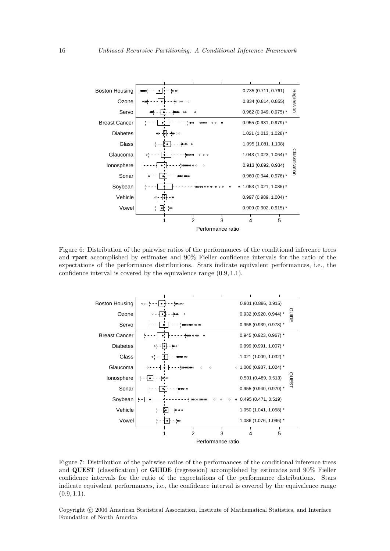

<span id="page-15-0"></span>Figure 6: Distribution of the pairwise ratios of the performances of the conditional inference trees and rpart accomplished by estimates and 90% Fieller confidence intervals for the ratio of the expectations of the performance distributions. Stars indicate equivalent performances, i.e., the confidence interval is covered by the equivalence range (0.9, 1.1).



<span id="page-15-1"></span>Figure 7: Distribution of the pairwise ratios of the performances of the conditional inference trees and QUEST (classification) or GUIDE (regression) accomplished by estimates and 90% Fieller confidence intervals for the ratio of the expectations of the performance distributions. Stars indicate equivalent performances, i.e., the confidence interval is covered by the equivalence range  $(0.9, 1.1).$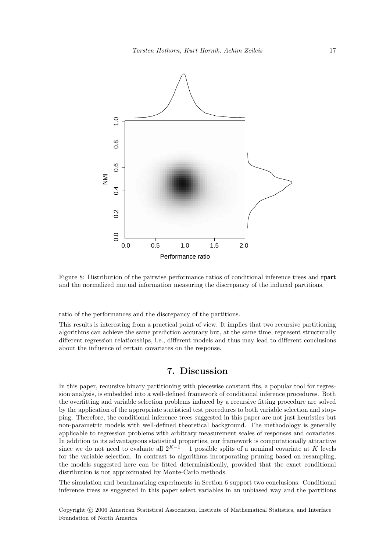

<span id="page-16-0"></span>Figure 8: Distribution of the pairwise performance ratios of conditional inference trees and rpart and the normalized mutual information measuring the discrepancy of the induced partitions.

ratio of the performances and the discrepancy of the partitions.

This results is interesting from a practical point of view. It implies that two recursive partitioning algorithms can achieve the same prediction accuracy but, at the same time, represent structurally different regression relationships, i.e., different models and thus may lead to different conclusions about the influence of certain covariates on the response.

# 7. Discussion

In this paper, recursive binary partitioning with piecewise constant fits, a popular tool for regression analysis, is embedded into a well-defined framework of conditional inference procedures. Both the overfitting and variable selection problems induced by a recursive fitting procedure are solved by the application of the appropriate statistical test procedures to both variable selection and stopping. Therefore, the conditional inference trees suggested in this paper are not just heuristics but non-parametric models with well-defined theoretical background. The methodology is generally applicable to regression problems with arbitrary measurement scales of responses and covariates. In addition to its advantageous statistical properties, our framework is computationally attractive since we do not need to evaluate all  $2^{K-1} - 1$  possible splits of a nominal covariate at K levels for the variable selection. In contrast to algorithms incorporating pruning based on resampling, the models suggested here can be fitted deterministically, provided that the exact conditional distribution is not approximated by Monte-Carlo methods.

The simulation and benchmarking experiments in Section [6](#page-9-0) support two conclusions: Conditional inference trees as suggested in this paper select variables in an unbiased way and the partitions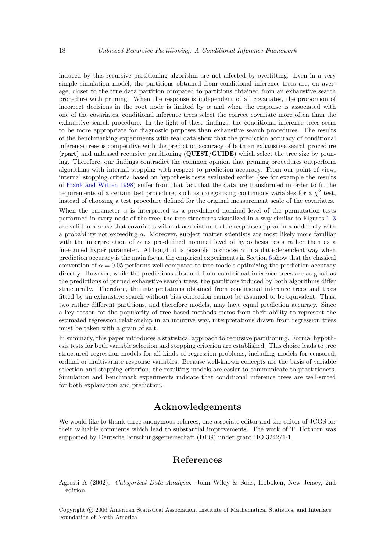induced by this recursive partitioning algorithm are not affected by overfitting. Even in a very simple simulation model, the partitions obtained from conditional inference trees are, on average, closer to the true data partition compared to partitions obtained from an exhaustive search procedure with pruning. When the response is independent of all covariates, the proportion of incorrect decisions in the root node is limited by  $\alpha$  and when the response is associated with one of the covariates, conditional inference trees select the correct covariate more often than the exhaustive search procedure. In the light of these findings, the conditional inference trees seem to be more appropriate for diagnostic purposes than exhaustive search procedures. The results of the benchmarking experiments with real data show that the prediction accuracy of conditional inference trees is competitive with the prediction accuracy of both an exhaustive search procedure (rpart) and unbiased recursive partitioning (QUEST/GUIDE) which select the tree size by pruning. Therefore, our findings contradict the common opinion that pruning procedures outperform algorithms with internal stopping with respect to prediction accuracy. From our point of view, internal stopping criteria based on hypothesis tests evaluated earlier (see for example the results of [Frank and Witten](#page-18-6) [1998\)](#page-18-6) suffer from that fact that the data are transformed in order to fit the requirements of a certain test procedure, such as categorizing continuous variables for a  $\chi^2$  test, instead of choosing a test procedure defined for the original measurement scale of the covariates.

When the parameter  $\alpha$  is interpreted as a pre-defined nominal level of the permutation tests performed in every node of the tree, the tree structures visualized in a way similar to Figures [1](#page-8-0)[–3](#page-10-0) are valid in a sense that covariates without association to the response appear in a node only with a probability not exceeding  $\alpha$ . Moreover, subject matter scientists are most likely more familiar with the interpretation of  $\alpha$  as pre-defined nominal level of hypothesis tests rather than as a fine-tuned hyper parameter. Although it is possible to choose  $\alpha$  in a data-dependent way when prediction accuracy is the main focus, the empirical experiments in Section [6](#page-9-0) show that the classical convention of  $\alpha = 0.05$  performs well compared to tree models optimizing the prediction accuracy directly. However, while the predictions obtained from conditional inference trees are as good as the predictions of pruned exhaustive search trees, the partitions induced by both algorithms differ structurally. Therefore, the interpretations obtained from conditional inference trees and trees fitted by an exhaustive search without bias correction cannot be assumed to be equivalent. Thus, two rather different partitions, and therefore models, may have equal prediction accuracy. Since a key reason for the popularity of tree based methods stems from their ability to represent the estimated regression relationship in an intuitive way, interpretations drawn from regression trees must be taken with a grain of salt.

In summary, this paper introduces a statistical approach to recursive partitioning. Formal hypothesis tests for both variable selection and stopping criterion are established. This choice leads to tree structured regression models for all kinds of regression problems, including models for censored, ordinal or multivariate response variables. Because well-known concepts are the basis of variable selection and stopping criterion, the resulting models are easier to communicate to practitioners. Simulation and benchmark experiments indicate that conditional inference trees are well-suited for both explanation and prediction.

# Acknowledgements

We would like to thank three anonymous referees, one associate editor and the editor of JCGS for their valuable comments which lead to substantial improvements. The work of T. Hothorn was supported by Deutsche Forschungsgemeinschaft (DFG) under grant HO 3242/1-1.

# References

<span id="page-17-0"></span>Agresti A (2002). Categorical Data Analysis. John Wiley & Sons, Hoboken, New Jersey, 2nd edition.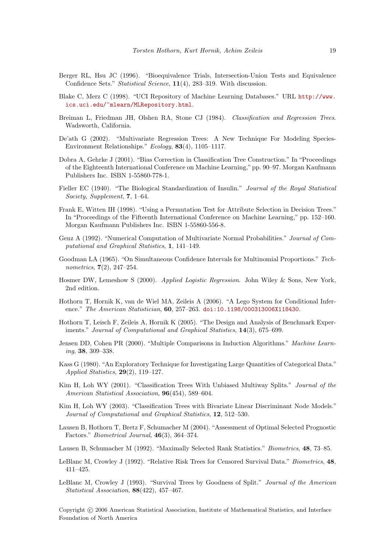- <span id="page-18-18"></span>Berger RL, Hsu JC (1996). "Bioequivalence Trials, Intersection-Union Tests and Equivalence Confidence Sets." Statistical Science, 11(4), 283–319. With discussion.
- <span id="page-18-16"></span>Blake C, Merz C (1998). "UCI Repository of Machine Learning Databases." URL [http://www.](http://www.ics.uci.edu/~mlearn/MLRepository.html) [ics.uci.edu/~mlearn/MLRepository.html](http://www.ics.uci.edu/~mlearn/MLRepository.html).
- <span id="page-18-0"></span>Breiman L, Friedman JH, Olshen RA, Stone CJ (1984). Classification and Regression Trees. Wadsworth, California.
- <span id="page-18-12"></span>De'ath G (2002). "Multivariate Regression Trees: A New Technique For Modeling Species-Environment Relationships." Ecology, 83(4), 1105–1117.
- <span id="page-18-9"></span>Dobra A, Gehrke J (2001). "Bias Correction in Classification Tree Construction." In "Proceedings of the Eighteenth International Conference on Machine Learning," pp. 90–97. Morgan Kaufmann Publishers Inc. ISBN 1-55860-778-1.
- <span id="page-18-19"></span>Fieller EC (1940). "The Biological Standardization of Insulin." Journal of the Royal Statistical Society, Supplement, 7, 1–64.
- <span id="page-18-6"></span>Frank E, Witten IH (1998). "Using a Permutation Test for Attribute Selection in Decision Trees." In "Proceedings of the Fifteenth International Conference on Machine Learning," pp. 152–160. Morgan Kaufmann Publishers Inc. ISBN 1-55860-556-8.
- <span id="page-18-11"></span>Genz A (1992). "Numerical Computation of Multivariate Normal Probabilities." Journal of Computational and Graphical Statistics, 1, 141–149.
- <span id="page-18-15"></span>Goodman LA (1965). "On Simultaneous Confidence Intervals for Multinomial Proportions." Technometrics, 7(2), 247–254.
- <span id="page-18-14"></span>Hosmer DW, Lemeshow S (2000). Applied Logistic Regression. John Wiley & Sons, New York, 2nd edition.
- <span id="page-18-10"></span>Hothorn T, Hornik K, van de Wiel MA, Zeileis A (2006). "A Lego System for Conditional Inference." The American Statistician, 60, 257–263. [doi:10.1198/000313006X118430](http://dx.doi.org/10.1198/000313006X118430).
- <span id="page-18-17"></span>Hothorn T, Leisch F, Zeileis A, Hornik K (2005). "The Design and Analysis of Benchmark Experiments." Journal of Computational and Graphical Statistics, 14(3), 675–699.
- <span id="page-18-2"></span>Jensen DD, Cohen PR (2000). "Multiple Comparisons in Induction Algorithms." Machine Learning, 38, 309–338.
- <span id="page-18-1"></span>Kass G (1980). "An Exploratory Technique for Investigating Large Quantities of Categorical Data." Applied Statistics, 29(2), 119–127.
- <span id="page-18-3"></span>Kim H, Loh WY (2001). "Classification Trees With Unbiased Multiway Splits." Journal of the American Statistical Association,  $96(454)$ , 589-604.
- <span id="page-18-4"></span>Kim H, Loh WY (2003). "Classification Trees with Bivariate Linear Discriminant Node Models." Journal of Computational and Graphical Statistics, 12, 512–530.
- <span id="page-18-8"></span>Lausen B, Hothorn T, Bretz F, Schumacher M (2004). "Assessment of Optimal Selected Prognostic Factors." Biometrical Journal, 46(3), 364–374.
- <span id="page-18-7"></span>Lausen B, Schumacher M (1992). "Maximally Selected Rank Statistics." Biometrics, 48, 73–85.
- <span id="page-18-13"></span>LeBlanc M, Crowley J (1992). "Relative Risk Trees for Censored Survival Data." Biometrics, 48, 411–425.
- <span id="page-18-5"></span>LeBlanc M, Crowley J (1993). "Survival Trees by Goodness of Split." Journal of the American Statistical Association, 88(422), 457–467.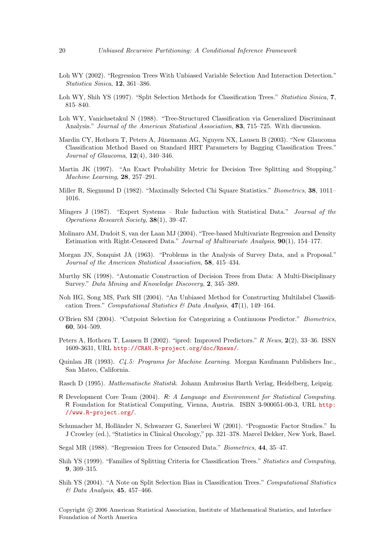- <span id="page-19-8"></span>Loh WY (2002). "Regression Trees With Unbiased Variable Selection And Interaction Detection." Statistica Sinica, 12, 361–386.
- <span id="page-19-7"></span>Loh WY, Shih YS (1997). "Split Selection Methods for Classification Trees." Statistica Sinica, 7, 815–840.
- <span id="page-19-6"></span>Loh WY, Vanichsetakul N (1988). "Tree-Structured Classification via Generalized Discriminant Analysis." Journal of the American Statistical Association, 83, 715–725. With discussion.
- <span id="page-19-17"></span>Mardin CY, Hothorn T, Peters A, Jünemann AG, Nguyen NX, Lausen B (2003). "New Glaucoma Classification Method Based on Standard HRT Parameters by Bagging Classification Trees." Journal of Glaucoma, 12(4), 340–346.
- <span id="page-19-9"></span>Martin JK (1997). "An Exact Probability Metric for Decision Tree Splitting and Stopping." Machine Learning, 28, 257–291.
- <span id="page-19-10"></span>Miller R, Siegmund D (1982). "Maximally Selected Chi Square Statistics." *Biometrics*, **38**, 1011– 1016.
- <span id="page-19-2"></span>Mingers J (1987). "Expert Systems – Rule Induction with Statistical Data." Journal of the Operations Research Society, 38(1), 39–47.
- <span id="page-19-14"></span>Molinaro AM, Dudoit S, van der Laan MJ (2004). "Tree-based Multivariate Regression and Density Estimation with Right-Censored Data." Journal of Multivariate Analysis, 90(1), 154–177.
- <span id="page-19-0"></span>Morgan JN, Sonquist JA (1963). "Problems in the Analysis of Survey Data, and a Proposal." Journal of the American Statistical Association, 58, 415–434.
- <span id="page-19-5"></span>Murthy SK (1998). "Automatic Construction of Decision Trees from Data: A Multi-Disciplinary Survey." Data Mining and Knowledge Discovery, 2, 345–389.
- <span id="page-19-15"></span>Noh HG, Song MS, Park SH (2004). "An Unbiased Method for Constructing Multilabel Classification Trees." Computational Statistics & Data Analysis,  $47(1)$ , 149-164.
- <span id="page-19-13"></span>O'Brien SM (2004). "Cutpoint Selection for Categorizing a Continuous Predictor." Biometrics, 60, 504–509.
- <span id="page-19-18"></span>Peters A, Hothorn T, Lausen B (2002). "ipred: Improved Predictors." R News, 2(2), 33-36. ISSN 1609-3631, URL <http://CRAN.R-project.org/doc/Rnews/>.
- <span id="page-19-1"></span>Quinlan JR (1993). C4.5: Programs for Machine Learning. Morgan Kaufmann Publishers Inc., San Mateo, California.
- <span id="page-19-11"></span>Rasch D (1995). Mathematische Statistik. Johann Ambrosius Barth Verlag, Heidelberg, Leipzig.
- <span id="page-19-16"></span>R Development Core Team (2004). R: A Language and Environment for Statistical Computing. R Foundation for Statistical Computing, Vienna, Austria. ISBN 3-900051-00-3, URL [http:](http://www.R-project.org/) [//www.R-project.org/](http://www.R-project.org/).
- <span id="page-19-19"></span>Schumacher M, Holländer N, Schwarzer G, Sauerbrei W (2001). "Prognostic Factor Studies." In J Crowley (ed.), "Statistics in Clinical Oncology," pp. 321–378. Marcel Dekker, New York, Basel.
- <span id="page-19-3"></span>Segal MR (1988). "Regression Trees for Censored Data." Biometrics, 44, 35–47.
- <span id="page-19-12"></span>Shih YS (1999). "Families of Splitting Criteria for Classification Trees." Statistics and Computing, 9, 309–315.
- <span id="page-19-4"></span>Shih YS (2004). "A Note on Split Selection Bias in Classification Trees." Computational Statistics  $\&$  Data Analysis, 45, 457-466.